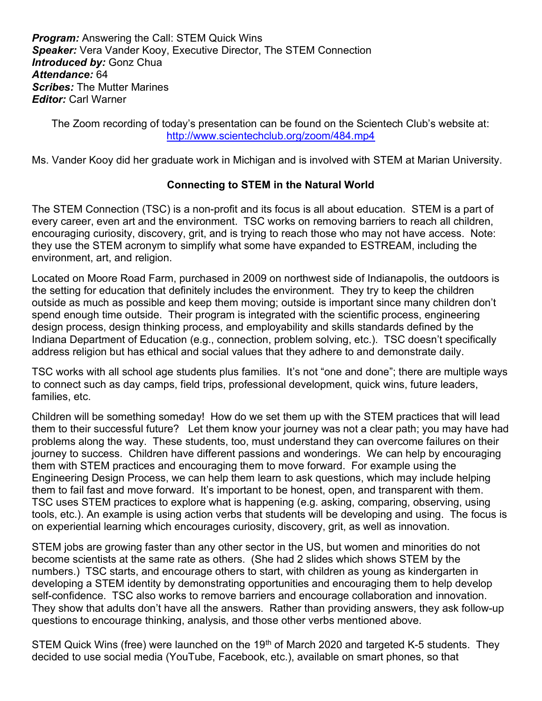**Program:** Answering the Call: STEM Quick Wins **Speaker:** Vera Vander Kooy, Executive Director, The STEM Connection **Introduced by: Gonz Chua** Attendance: 64 **Scribes: The Mutter Marines Editor: Carl Warner** 

The Zoom recording of today's presentation can be found on the Scientech Club's website at: http://www.scientechclub.org/zoom/484.mp4

Ms. Vander Kooy did her graduate work in Michigan and is involved with STEM at Marian University.

## Connecting to STEM in the Natural World

The STEM Connection (TSC) is a non-profit and its focus is all about education. STEM is a part of every career, even art and the environment. TSC works on removing barriers to reach all children, encouraging curiosity, discovery, grit, and is trying to reach those who may not have access. Note: they use the STEM acronym to simplify what some have expanded to ESTREAM, including the environment, art, and religion.

Located on Moore Road Farm, purchased in 2009 on northwest side of Indianapolis, the outdoors is the setting for education that definitely includes the environment. They try to keep the children outside as much as possible and keep them moving; outside is important since many children don't spend enough time outside. Their program is integrated with the scientific process, engineering design process, design thinking process, and employability and skills standards defined by the Indiana Department of Education (e.g., connection, problem solving, etc.). TSC doesn't specifically address religion but has ethical and social values that they adhere to and demonstrate daily.

TSC works with all school age students plus families. It's not "one and done"; there are multiple ways to connect such as day camps, field trips, professional development, quick wins, future leaders, families, etc.

Children will be something someday! How do we set them up with the STEM practices that will lead them to their successful future? Let them know your journey was not a clear path; you may have had problems along the way. These students, too, must understand they can overcome failures on their journey to success. Children have different passions and wonderings. We can help by encouraging them with STEM practices and encouraging them to move forward. For example using the Engineering Design Process, we can help them learn to ask questions, which may include helping them to fail fast and move forward. It's important to be honest, open, and transparent with them. TSC uses STEM practices to explore what is happening (e.g. asking, comparing, observing, using tools, etc.). An example is using action verbs that students will be developing and using. The focus is on experiential learning which encourages curiosity, discovery, grit, as well as innovation.

STEM jobs are growing faster than any other sector in the US, but women and minorities do not become scientists at the same rate as others. (She had 2 slides which shows STEM by the numbers.) TSC starts, and encourage others to start, with children as young as kindergarten in developing a STEM identity by demonstrating opportunities and encouraging them to help develop self-confidence. TSC also works to remove barriers and encourage collaboration and innovation. They show that adults don't have all the answers. Rather than providing answers, they ask follow-up questions to encourage thinking, analysis, and those other verbs mentioned above.

STEM Quick Wins (free) were launched on the 19<sup>th</sup> of March 2020 and targeted K-5 students. They decided to use social media (YouTube, Facebook, etc.), available on smart phones, so that